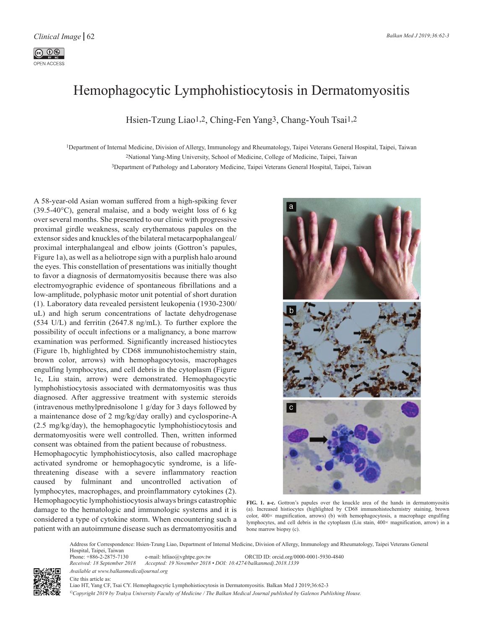## Hemophagocytic Lymphohistiocytosis in Dermatomyositis

Hsien-Tzung Lia[o1,2,](https://orcid.org/0000-0001-5930-4840) Ching-Fen Yan[g3,](https://orcid.org/0000-0003-1244-9377) Chang-Youh Tsa[i1,2](https://orcid.org/0000-0002-4154-4018)

1Department of Internal Medicine, Division of Allergy, Immunology and Rheumatology, Taipei Veterans General Hospital, Taipei, Taiwan 2National Yang-Ming University, School of Medicine, College of Medicine, Taipei, Taiwan 3Department of Pathology and Laboratory Medicine, Taipei Veterans General Hospital, Taipei, Taiwan

A 58-year-old Asian woman suffered from a high-spiking fever (39.5-40°C), general malaise, and a body weight loss of 6 kg over several months. She presented to our clinic with progressive proximal girdle weakness, scaly erythematous papules on the extensor sides and knuckles of the bilateral metacarpophalangeal/ proximal interphalangeal and elbow joints (Gottron's papules, Figure 1a), as well as a heliotrope sign with a purplish halo around the eyes. This constellation of presentations was initially thought to favor a diagnosis of dermatomyositis because there was also electromyographic evidence of spontaneous fibrillations and a low-amplitude, polyphasic motor unit potential of short duration (1). Laboratory data revealed persistent leukopenia (1930-2300/ uL) and high serum concentrations of lactate dehydrogenase (534 U/L) and ferritin (2647.8 ng/mL). To further explore the possibility of occult infections or a malignancy, a bone marrow examination was performed. Significantly increased histiocytes (Figure 1b, highlighted by CD68 immunohistochemistry stain, brown color, arrows) with hemophagocytosis, macrophages engulfing lymphocytes, and cell debris in the cytoplasm (Figure 1c, Liu stain, arrow) were demonstrated. Hemophagocytic lymphohistiocytosis associated with dermatomyositis was thus diagnosed. After aggressive treatment with systemic steroids (intravenous methylprednisolone 1 g/day for 3 days followed by a maintenance dose of 2 mg/kg/day orally) and cyclosporine-A (2.5 mg/kg/day), the hemophagocytic lymphohistiocytosis and dermatomyositis were well controlled. Then, written informed consent was obtained from the patient because of robustness.

Hemophagocytic lymphohistiocytosis, also called macrophage activated syndrome or hemophagocytic syndrome, is a lifethreatening disease with a severe inflammatory reaction caused by fulminant and uncontrolled activation of lymphocytes, macrophages, and proinflammatory cytokines (2). Hemophagocytic lymphohistiocytosis always brings catastrophic damage to the hematologic and immunologic systems and it is considered a type of cytokine storm. When encountering such a patient with an autoimmune disease such as dermatomyositis and



**FIG. 1. a-c.** Gottron's papules over the knuckle area of the hands in dermatomyositis (a). Increased histiocytes (highlighted by CD68 immunohistochemistry staining, brown color,  $400 \times$  magnification, arrows) (b) with hemophagocytosis, a macrophage engulfing lymphocytes, and cell debris in the cytoplasm (Liu stain, 400× magnification, arrow) in a bone marrow biopsy (c).



Address for Correspondence: Hsien-Tzung Liao, Department of Internal Medicine, Division of Allergy, Immunology and Rheumatology, Taipei Veterans General Hospital, Taipei, Taiwan<br>Phone: +886-2-2875-7130 Phone: +886-2-2875-7130 e-mail: htliao@yghtpe.gov.tw ORCID ID: orcid.org/0000-0001-5930-4840<br>Received: 18 September 2018 Accepted: 19 November 2018 • DOI: 10.4274/balkanmedj.2018.1339 *Received: 18 September 2018 Accepted: 19 November 2018 • DOI: 10.4274/balkanmedj.2018.1339 Available at www.balkanmedicaljournal.org*

Cite this article as: Liao HT, Yang CF, Tsai CY. Hemophagocytic Lymphohistiocytosis in Dermatomyositis. Balkan Med J 2019;36:62-3

*©Copyright 2019 by Trakya University Faculty of Medicine / The Balkan Medical Journal published by Galenos Publishing House.*